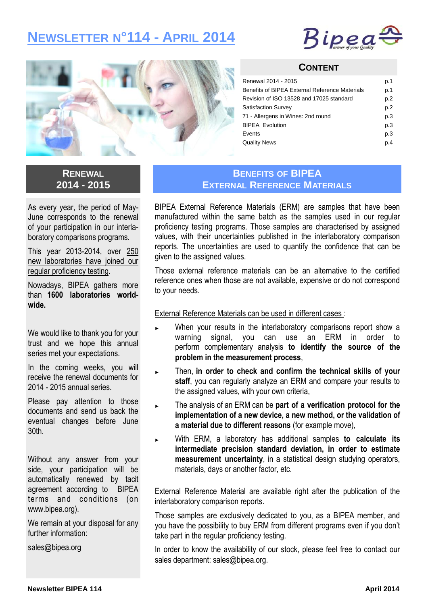# **NEWSLETTER N°114 - APRIL 2014**





#### **CONTENT**

| Renewal 2014 - 2015                            | p.1 |
|------------------------------------------------|-----|
| Benefits of BIPEA External Reference Materials | p.1 |
| Revision of ISO 13528 and 17025 standard       | p.2 |
| <b>Satisfaction Survey</b>                     | p.2 |
| 71 - Allergens in Wines: 2nd round             | p.3 |
| <b>BIPEA Evolution</b>                         | p.3 |
| Events                                         | p.3 |
| <b>Quality News</b>                            | p.4 |

### **RENEWAL 2014 - 2015**

As every year, the period of May-June corresponds to the renewal of your participation in our interlaboratory comparisons programs.

This year 2013-2014, over 250 new laboratories have joined our regular proficiency testing.

Nowadays, BIPEA gathers more than **1600 laboratories worldwide.** 

We would like to thank you for your trust and we hope this annual series met your expectations.

In the coming weeks, you will receive the renewal documents for 2014 - 2015 annual series.

Please pay attention to those documents and send us back the eventual changes before June 30th.

Without any answer from your side, your participation will be automatically renewed by tacit agreement according to BIPEA terms and conditions (on www.bipea.org).

We remain at your disposal for any further information:

sales@bipea.org

### **BENEFITS OF BIPEA EXTERNAL REFERENCE MATERIALS**

BIPEA External Reference Materials (ERM) are samples that have been manufactured within the same batch as the samples used in our regular proficiency testing programs. Those samples are characterised by assigned values, with their uncertainties published in the interlaboratory comparison reports. The uncertainties are used to quantify the confidence that can be given to the assigned values.

Those external reference materials can be an alternative to the certified reference ones when those are not available, expensive or do not correspond to your needs.

External Reference Materials can be used in different cases :

- When your results in the interlaboratory comparisons report show a warning signal, you can use an ERM in order to perform complementary analysis **to identify the source of the problem in the measurement process**,
- Then, in order to check and confirm the technical skills of your **staff**, you can regularly analyze an ERM and compare your results to the assigned values, with your own criteria,
- The analysis of an ERM can be part of a verification protocol for the **implementation of a new device, a new method, or the validation of a material due to different reasons** (for example move),
- ► With ERM, a laboratory has additional samples **to calculate its intermediate precision standard deviation, in order to estimate measurement uncertainty**, in a statistical design studying operators, materials, days or another factor, etc.

External Reference Material are available right after the publication of the interlaboratory comparison reports.

Those samples are exclusively dedicated to you, as a BIPEA member, and you have the possibility to buy ERM from different programs even if you don't take part in the regular proficiency testing.

In order to know the availability of our stock, please feel free to contact our sales department: sales@bipea.org.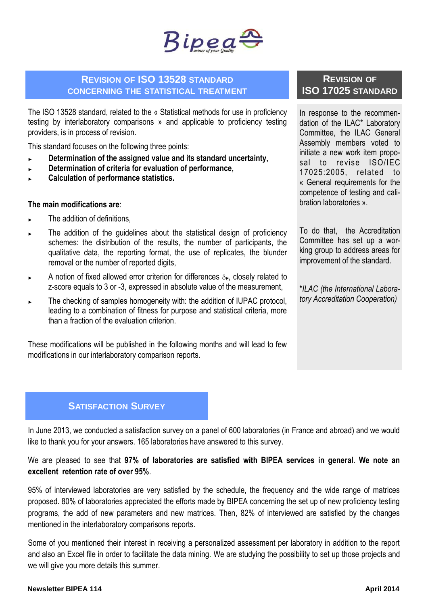

### **REVISION OF ISO 13528 STANDARD CONCERNING THE STATISTICAL TREATMENT**

The ISO 13528 standard, related to the « Statistical methods for use in proficiency testing by interlaboratory comparisons » and applicable to proficiency testing providers, is in process of revision.

This standard focuses on the following three points:

- ► **Determination of the assigned value and its standard uncertainty,**
- ► **Determination of criteria for evaluation of performance,**
- ► **Calculation of performance statistics.**

#### **The main modifications are**:

- The addition of definitions,
- The addition of the guidelines about the statistical design of proficiency schemes: the distribution of the results, the number of participants, the qualitative data, the reporting format, the use of replicates, the blunder removal or the number of reported digits,
- ► A notion of fixed allowed error criterion for differences  $\delta_{\text{E}}$ , closely related to z-score equals to 3 or -3, expressed in absolute value of the measurement,
- ► The checking of samples homogeneity with: the addition of IUPAC protocol, leading to a combination of fitness for purpose and statistical criteria, more than a fraction of the evaluation criterion.

These modifications will be published in the following months and will lead to few modifications in our interlaboratory comparison reports.

## **REVISION OF ISO 17025 STANDARD**

In response to the recommendation of the ILAC\* Laboratory Committee, the ILAC General Assembly members voted to initiate a new work item proposal to revise ISO/IEC 17025:2005, related to « General requirements for the competence of testing and calibration laboratories ».

To do that, the Accreditation Committee has set up a working group to address areas for improvement of the standard.

\**ILAC (the International Laboratory Accreditation Cooperation)*

### **SATISFACTION SURVEY**

In June 2013, we conducted a satisfaction survey on a panel of 600 laboratories (in France and abroad) and we would like to thank you for your answers. 165 laboratories have answered to this survey.

We are pleased to see that **97% of laboratories are satisfied with BIPEA services in general. We note an excellent retention rate of over 95%**.

95% of interviewed laboratories are very satisfied by the schedule, the frequency and the wide range of matrices proposed. 80% of laboratories appreciated the efforts made by BIPEA concerning the set up of new proficiency testing programs, the add of new parameters and new matrices. Then, 82% of interviewed are satisfied by the changes mentioned in the interlaboratory comparisons reports.

Some of you mentioned their interest in receiving a personalized assessment per laboratory in addition to the report and also an Excel file in order to facilitate the data mining. We are studying the possibility to set up those projects and we will give you more details this summer.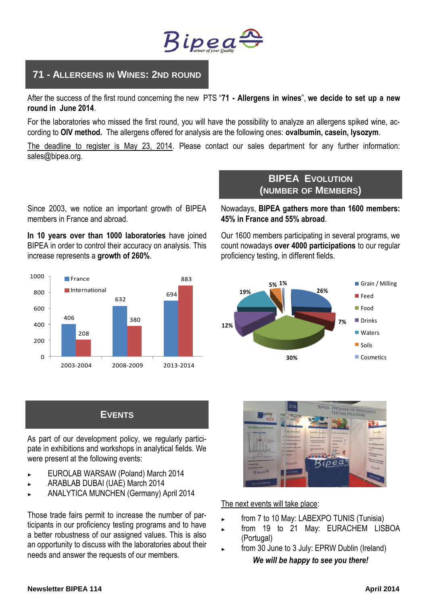

# **71 - ALLERGENS IN WINES: 2ND ROUND**

After the success of the first round concerning the new PTS "**71 - Allergens in wines**", **we decide to set up a new round in June 2014**.

For the laboratories who missed the first round, you will have the possibility to analyze an allergens spiked wine, according to **OIV method.** The allergens offered for analysis are the following ones: **ovalbumin, casein, lysozym**.

The deadline to register is May 23, 2014. Please contact our sales department for any further information: sales@bipea.org.

Since 2003, we notice an important growth of BIPEA members in France and abroad.

**In 10 years over than 1000 laboratories** have joined BIPEA in order to control their accuracy on analysis. This increase represents a **growth of 260%**.



# **BIPEA EVOLUTION (NUMBER OF MEMBERS)**

Nowadays, **BIPEA gathers more than 1600 members: 45% in France and 55% abroad**.

Our 1600 members participating in several programs, we count nowadays **over 4000 participations** to our regular proficiency testing, in different fields.



# **EVENTS**

As part of our development policy, we regularly participate in exhibitions and workshops in analytical fields. We were present at the following events:

- ► EUROLAB WARSAW (Poland) March 2014
- ► ARABLAB DUBAI (UAE) March 2014
- ► ANALYTICA MUNCHEN (Germany) April 2014

Those trade fairs permit to increase the number of participants in our proficiency testing programs and to have a better robustness of our assigned values. This is also an opportunity to discuss with the laboratories about their needs and answer the requests of our members.



The next events will take place:

- from 7 to 10 May: LABEXPO TUNIS (Tunisia)
- ► from 19 to 21 May: EURACHEM LISBOA (Portugal)
- from 30 June to 3 July: EPRW Dublin (Ireland) *We will be happy to see you there!*